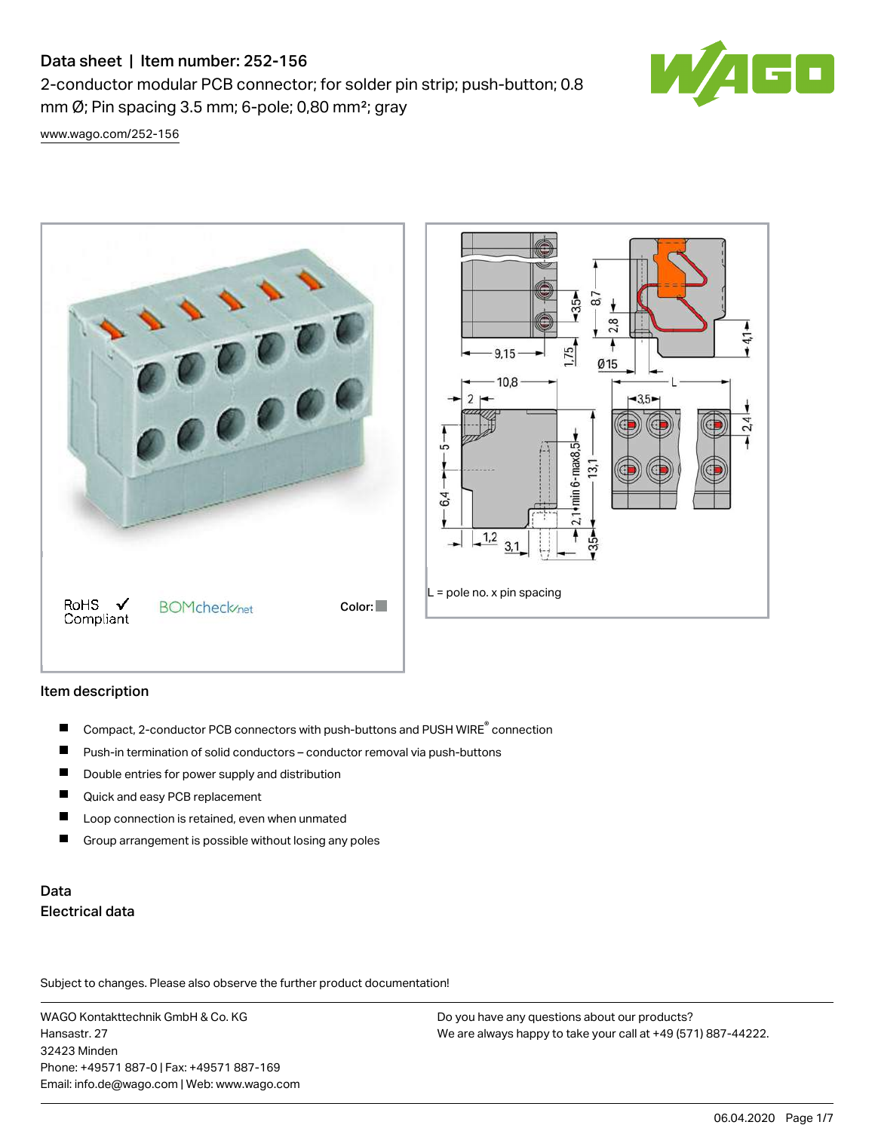# Data sheet | Item number: 252-156

2-conductor modular PCB connector; for solder pin strip; push-button; 0.8 mm  $\varnothing$ ; Pin spacing 3.5 mm; 6-pole; 0,80 mm<sup>2</sup>; gray



[www.wago.com/252-156](http://www.wago.com/252-156)



## Item description

- Compact, 2-conductor PCB connectors with push-buttons and PUSH WIRE<sup>®</sup> connection  $\blacksquare$
- Push-in termination of solid conductors conductor removal via push-buttons П
- П Double entries for power supply and distribution
- $\blacksquare$ Quick and easy PCB replacement
- $\blacksquare$ Loop connection is retained, even when unmated
- П Group arrangement is possible without losing any poles

# Data Electrical data

Subject to changes. Please also observe the further product documentation!

WAGO Kontakttechnik GmbH & Co. KG Hansastr. 27 32423 Minden Phone: +49571 887-0 | Fax: +49571 887-169 Email: info.de@wago.com | Web: www.wago.com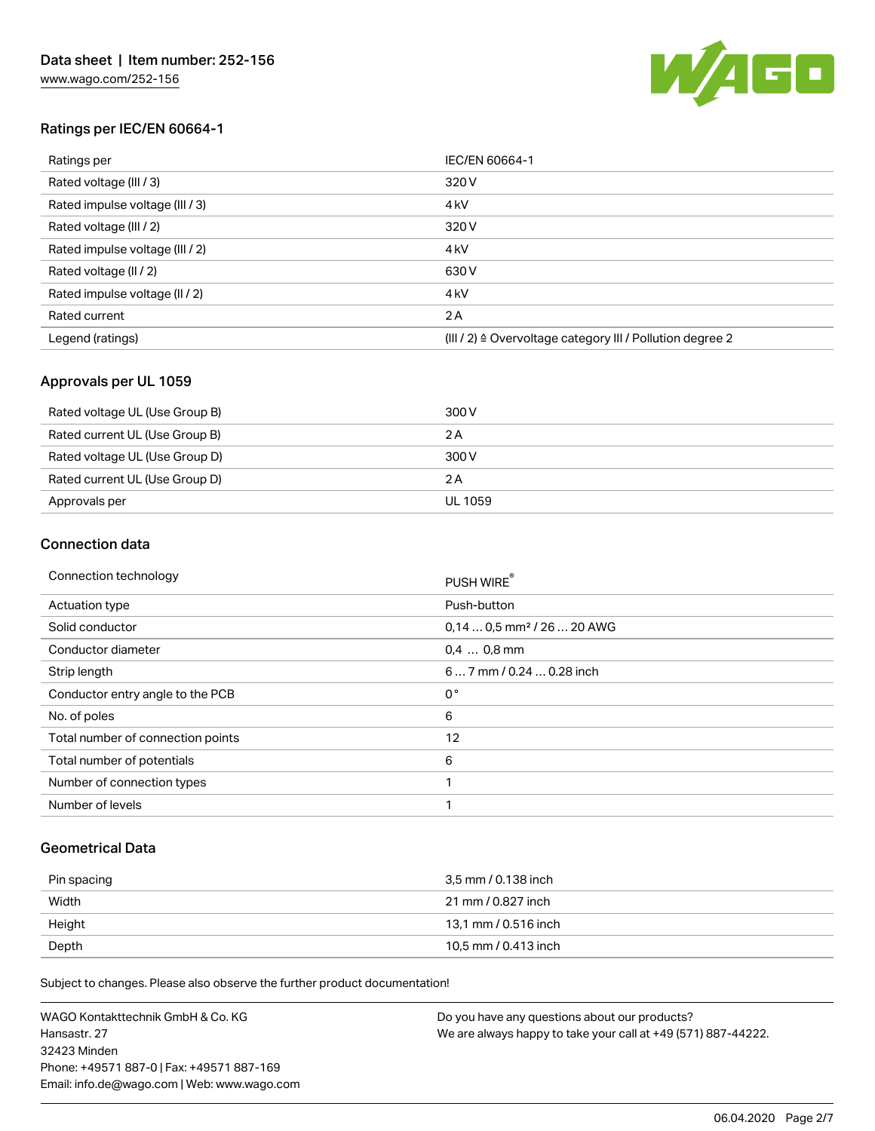

## Ratings per IEC/EN 60664-1

| Ratings per                     | IEC/EN 60664-1                                            |
|---------------------------------|-----------------------------------------------------------|
| Rated voltage (III / 3)         | 320 V                                                     |
| Rated impulse voltage (III / 3) | 4 <sub>kV</sub>                                           |
| Rated voltage (III / 2)         | 320 V                                                     |
| Rated impulse voltage (III / 2) | 4 <sub>kV</sub>                                           |
| Rated voltage (II / 2)          | 630 V                                                     |
| Rated impulse voltage (II / 2)  | 4 <sub>k</sub> V                                          |
| Rated current                   | 2 A                                                       |
| Legend (ratings)                | (III / 2) ≙ Overvoltage category III / Pollution degree 2 |

## Approvals per UL 1059

| Rated voltage UL (Use Group B) | 300 V   |
|--------------------------------|---------|
| Rated current UL (Use Group B) | 2 A     |
| Rated voltage UL (Use Group D) | 300 V   |
| Rated current UL (Use Group D) | 2 A     |
| Approvals per                  | UL 1059 |

## Connection data

| Connection technology             | PUSH WIRE                              |
|-----------------------------------|----------------------------------------|
| <b>Actuation type</b>             | Push-button                            |
| Solid conductor                   | $0.140.5$ mm <sup>2</sup> / 26  20 AWG |
| Conductor diameter                | $0.4$ 0.8 mm                           |
| Strip length                      | 6 7 mm / 0.24  0.28 inch               |
| Conductor entry angle to the PCB  | $0^{\circ}$                            |
| No. of poles                      | 6                                      |
| Total number of connection points | 12                                     |
| Total number of potentials        | 6                                      |
| Number of connection types        | 1                                      |
| Number of levels                  | 1                                      |

### Geometrical Data

| Pin spacing | 3.5 mm / 0.138 inch  |
|-------------|----------------------|
| Width       | 21 mm / 0.827 inch   |
| Height      | 13.1 mm / 0.516 inch |
| Depth       | 10,5 mm / 0.413 inch |

Subject to changes. Please also observe the further product documentation!

WAGO Kontakttechnik GmbH & Co. KG Hansastr. 27 32423 Minden Phone: +49571 887-0 | Fax: +49571 887-169 Email: info.de@wago.com | Web: www.wago.com Do you have any questions about our products? We are always happy to take your call at +49 (571) 887-44222.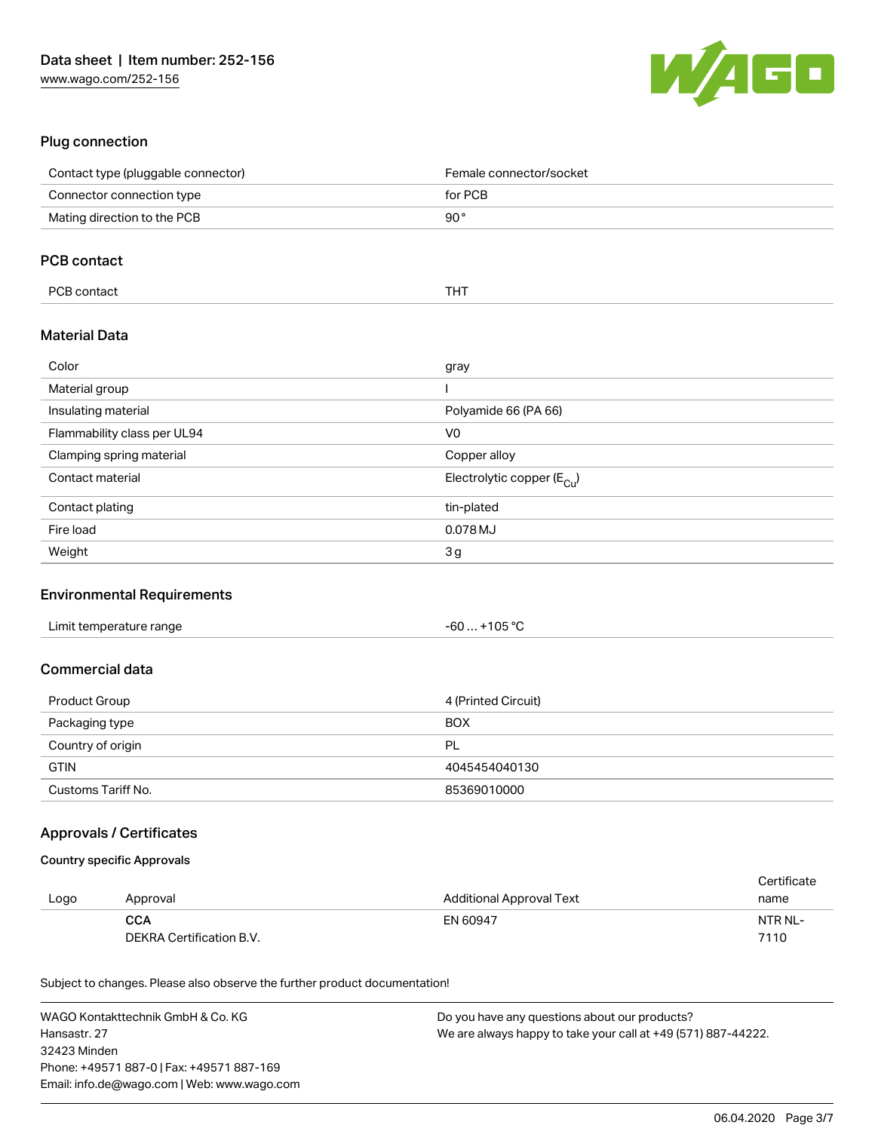

# Plug connection

| Contact type (pluggable connector) | Female connector/socket          |
|------------------------------------|----------------------------------|
| Connector connection type          | for PCB                          |
| Mating direction to the PCB        | $90^{\circ}$                     |
|                                    |                                  |
| <b>PCB</b> contact                 |                                  |
| PCB contact                        | <b>THT</b>                       |
| <b>Material Data</b>               |                                  |
| Color                              | gray                             |
| Material group                     |                                  |
| Insulating material                | Polyamide 66 (PA 66)             |
| Flammability class per UL94        | V <sub>0</sub>                   |
| Clamping spring material           | Copper alloy                     |
| Contact material                   | Electrolytic copper ( $E_{Cl}$ ) |
| Contact plating                    | tin-plated                       |
| Fire load                          | 0.078 MJ                         |
| Weight                             | 3g                               |

#### Environmental Requirements

| Limit temperature range | $+105 °C$<br>-60 |
|-------------------------|------------------|
|-------------------------|------------------|

# Commercial data

| Product Group      | 4 (Printed Circuit) |
|--------------------|---------------------|
| Packaging type     | <b>BOX</b>          |
| Country of origin  | <b>PL</b>           |
| <b>GTIN</b>        | 4045454040130       |
| Customs Tariff No. | 85369010000         |

## Approvals / Certificates

#### Country specific Approvals

|      |                          |                          | Certificate |
|------|--------------------------|--------------------------|-------------|
| Logo | Approval                 | Additional Approval Text | name        |
|      | <b>CCA</b>               | EN 60947                 | NTR NL-     |
|      | DEKRA Certification B.V. |                          | 7110        |

Subject to changes. Please also observe the further product documentation!

| WAGO Kontakttechnik GmbH & Co. KG           | Do you have any questions about our products?                 |
|---------------------------------------------|---------------------------------------------------------------|
| Hansastr. 27                                | We are always happy to take your call at +49 (571) 887-44222. |
| 32423 Minden                                |                                                               |
| Phone: +49571 887-01 Fax: +49571 887-169    |                                                               |
| Email: info.de@wago.com   Web: www.wago.com |                                                               |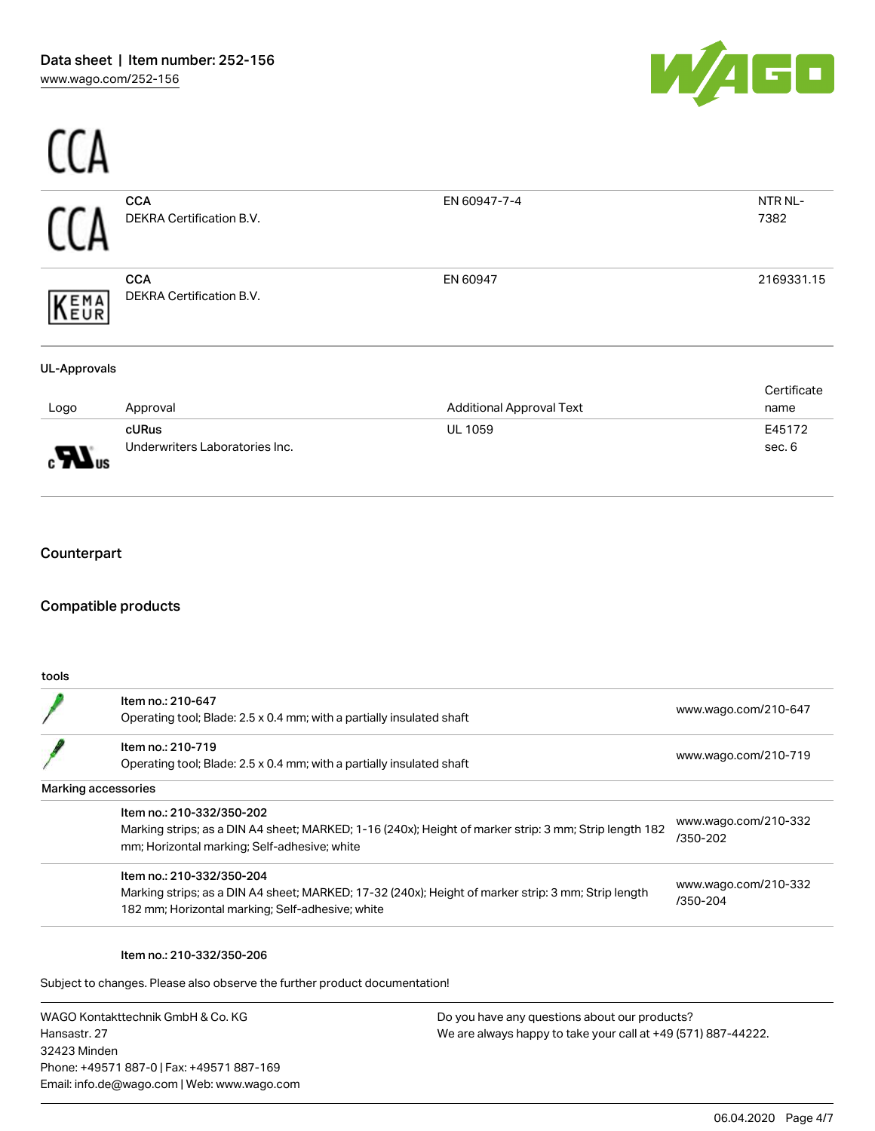

|                                                    | <b>CCA</b><br>DEKRA Certification B.V.                                                                                                                                              | EN 60947-7-4                               | NTR NL-<br>7382                  |
|----------------------------------------------------|-------------------------------------------------------------------------------------------------------------------------------------------------------------------------------------|--------------------------------------------|----------------------------------|
| <b>EMA</b><br>EUR                                  | <b>CCA</b><br>DEKRA Certification B.V.                                                                                                                                              | EN 60947                                   | 2169331.15                       |
| <b>UL-Approvals</b>                                |                                                                                                                                                                                     |                                            |                                  |
|                                                    |                                                                                                                                                                                     |                                            | Certificate                      |
| Logo                                               | Approval<br>cURus                                                                                                                                                                   | <b>Additional Approval Text</b><br>UL 1059 | name<br>E45172                   |
|                                                    | Underwriters Laboratories Inc.                                                                                                                                                      |                                            | sec. 6                           |
|                                                    |                                                                                                                                                                                     |                                            |                                  |
|                                                    |                                                                                                                                                                                     |                                            |                                  |
| Counterpart<br><b>Compatible products</b><br>tools |                                                                                                                                                                                     |                                            |                                  |
|                                                    | Item no.: 210-647<br>Operating tool; Blade: 2.5 x 0.4 mm; with a partially insulated shaft                                                                                          |                                            | www.wago.com/210-647             |
|                                                    | Item no.: 210-719<br>Operating tool; Blade: 2.5 x 0.4 mm; with a partially insulated shaft                                                                                          |                                            | www.wago.com/210-719             |
| Marking accessories                                |                                                                                                                                                                                     |                                            |                                  |
|                                                    | Item no.: 210-332/350-202<br>Marking strips; as a DIN A4 sheet; MARKED; 1-16 (240x); Height of marker strip: 3 mm; Strip length 182<br>mm; Horizontal marking; Self-adhesive; white |                                            | www.wago.com/210-332<br>/350-202 |

Subject to changes. Please also observe the further product documentation!

WAGO Kontakttechnik GmbH & Co. KG Hansastr. 27 32423 Minden Phone: +49571 887-0 | Fax: +49571 887-169 Email: info.de@wago.com | Web: www.wago.com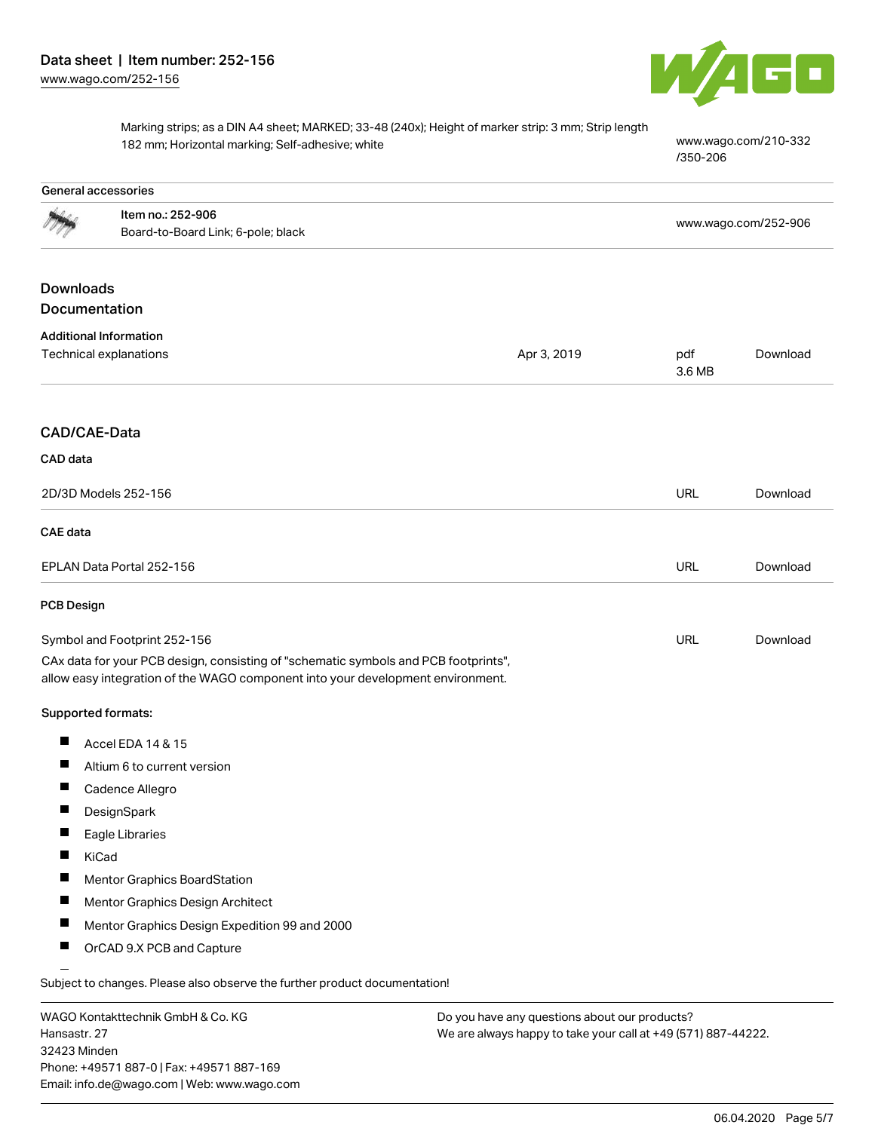

Marking strips; as a DIN A4 sheet; MARKED; 33-48 (240x); Height of marker strip: 3 mm; Strip length 182 mm; Horizontal marking; Self-adhesive; white [www.wago.com/210-332](http://www.wago.com/210-332/350-206)

[/350-206](http://www.wago.com/210-332/350-206)

|                   | General accessories                                                                                                                                                    |                                               |               |                      |
|-------------------|------------------------------------------------------------------------------------------------------------------------------------------------------------------------|-----------------------------------------------|---------------|----------------------|
|                   | Item no.: 252-906<br>Board-to-Board Link; 6-pole; black                                                                                                                |                                               |               | www.wago.com/252-906 |
|                   |                                                                                                                                                                        |                                               |               |                      |
| <b>Downloads</b>  |                                                                                                                                                                        |                                               |               |                      |
| Documentation     |                                                                                                                                                                        |                                               |               |                      |
|                   | <b>Additional Information</b>                                                                                                                                          |                                               |               |                      |
|                   | Technical explanations                                                                                                                                                 | Apr 3, 2019                                   | pdf<br>3.6 MB | Download             |
|                   |                                                                                                                                                                        |                                               |               |                      |
| CAD/CAE-Data      |                                                                                                                                                                        |                                               |               |                      |
| CAD data          |                                                                                                                                                                        |                                               |               |                      |
|                   | 2D/3D Models 252-156                                                                                                                                                   |                                               | <b>URL</b>    | Download             |
| CAE data          |                                                                                                                                                                        |                                               |               |                      |
|                   | EPLAN Data Portal 252-156                                                                                                                                              |                                               | <b>URL</b>    | Download             |
| <b>PCB Design</b> |                                                                                                                                                                        |                                               |               |                      |
|                   | Symbol and Footprint 252-156                                                                                                                                           |                                               | URL           | Download             |
|                   | CAx data for your PCB design, consisting of "schematic symbols and PCB footprints",<br>allow easy integration of the WAGO component into your development environment. |                                               |               |                      |
|                   | Supported formats:                                                                                                                                                     |                                               |               |                      |
| ш                 | Accel EDA 14 & 15                                                                                                                                                      |                                               |               |                      |
| ш                 | Altium 6 to current version                                                                                                                                            |                                               |               |                      |
| ш                 | Cadence Allegro                                                                                                                                                        |                                               |               |                      |
|                   | DesignSpark                                                                                                                                                            |                                               |               |                      |
| ш                 | Eagle Libraries                                                                                                                                                        |                                               |               |                      |
|                   | KiCad                                                                                                                                                                  |                                               |               |                      |
|                   | Mentor Graphics BoardStation                                                                                                                                           |                                               |               |                      |
| ш                 | Mentor Graphics Design Architect                                                                                                                                       |                                               |               |                      |
| ш                 | Mentor Graphics Design Expedition 99 and 2000                                                                                                                          |                                               |               |                      |
|                   | OrCAD 9.X PCB and Capture                                                                                                                                              |                                               |               |                      |
|                   | Subject to changes. Please also observe the further product documentation!                                                                                             |                                               |               |                      |
|                   | WACO Kontakttoobnik CmbU & Co KC                                                                                                                                       | Do vou bave any questions about our products? |               |                      |

WAGO Kontakttechnik GmbH & Co. KG Hansastr. 27 32423 Minden Phone: +49571 887-0 | Fax: +49571 887-169 Email: info.de@wago.com | Web: www.wago.com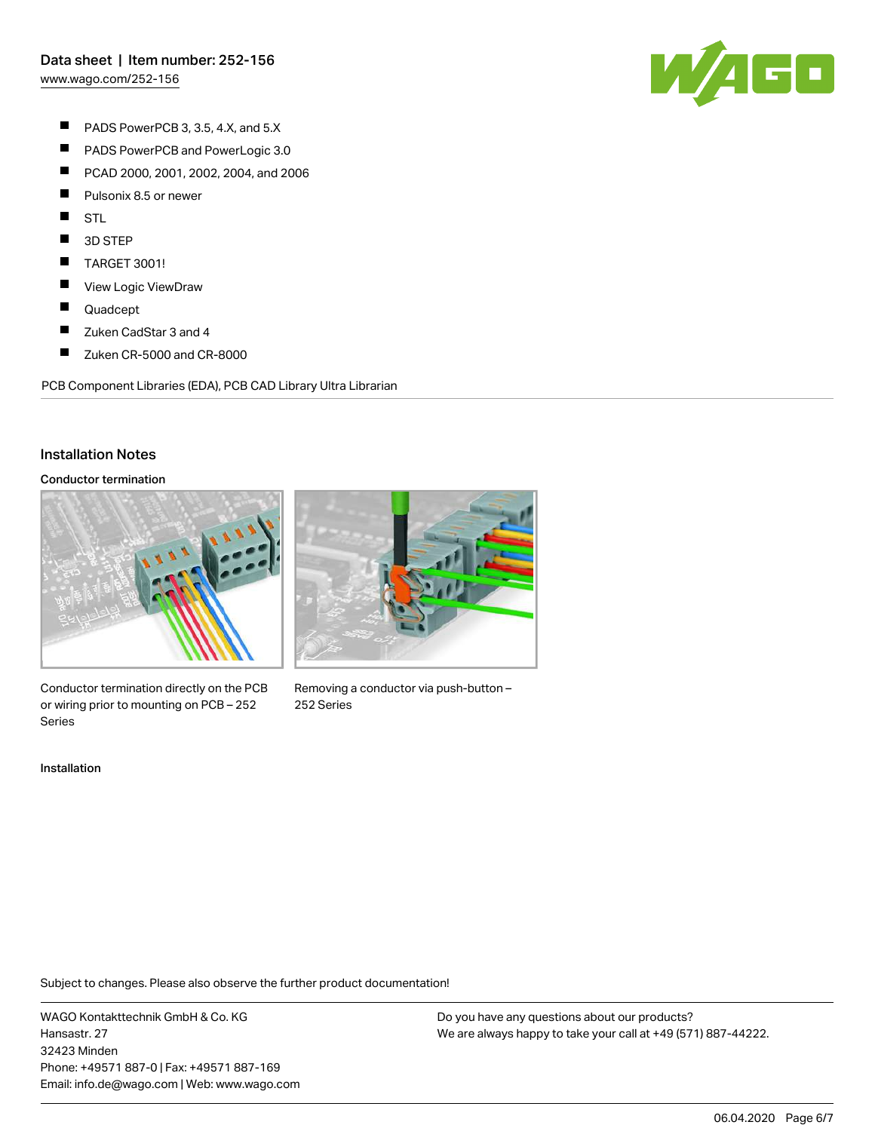[www.wago.com/252-156](http://www.wago.com/252-156)



- $\blacksquare$ PADS PowerPCB 3, 3.5, 4.X, and 5.X
- $\blacksquare$ PADS PowerPCB and PowerLogic 3.0
- $\blacksquare$ PCAD 2000, 2001, 2002, 2004, and 2006
- $\blacksquare$ Pulsonix 8.5 or newer
- $\blacksquare$ STL
- П 3D STEP
- $\blacksquare$ TARGET 3001!
- $\blacksquare$ View Logic ViewDraw
- $\blacksquare$ Quadcept
- $\blacksquare$ Zuken CadStar 3 and 4
- $\blacksquare$ Zuken CR-5000 and CR-8000

PCB Component Libraries (EDA), PCB CAD Library Ultra Librarian

### Installation Notes

#### Conductor termination



Conductor termination directly on the PCB or wiring prior to mounting on PCB – 252 Series

Installation



Removing a conductor via push-button – 252 Series

Subject to changes. Please also observe the further product documentation!

WAGO Kontakttechnik GmbH & Co. KG Hansastr. 27 32423 Minden Phone: +49571 887-0 | Fax: +49571 887-169 Email: info.de@wago.com | Web: www.wago.com